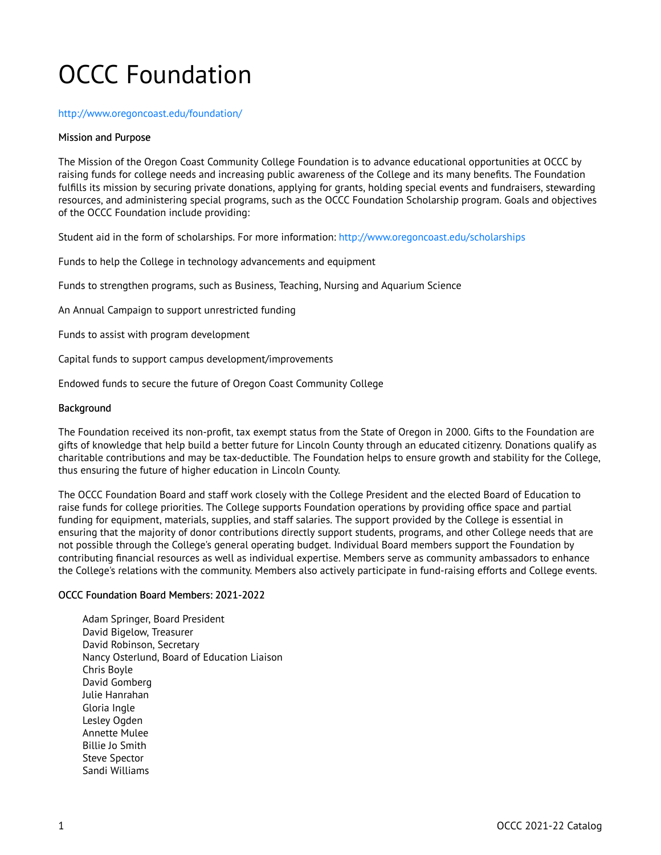# OCCC Foundation

#### [http://www.oregoncoast.edu/foundation/](http://www.oregoncoastcc.org/foundation/)

### Mission and Purpose

The Mission of the Oregon Coast Community College Foundation is to advance educational opportunities at OCCC by raising funds for college needs and increasing public awareness of the College and its many benefits. The Foundation fulfills its mission by securing private donations, applying for grants, holding special events and fundraisers, stewarding resources, and administering special programs, such as the OCCC Foundation Scholarship program. Goals and objectives of the OCCC Foundation include providing:

Student aid in the form of scholarships. For more information: [http://www.oregoncoast.edu/scholarships](http://www.oregoncoastcc.org/scholarships) 

Funds to help the College in technology advancements and equipment

Funds to strengthen programs, such as Business, Teaching, Nursing and Aquarium Science

An Annual Campaign to support unrestricted funding

Funds to assist with program development

Capital funds to support campus development/improvements

Endowed funds to secure the future of Oregon Coast Community College

### **Background**

The Foundation received its non-profit, tax exempt status from the State of Oregon in 2000. Gifts to the Foundation are gifts of knowledge that help build a better future for Lincoln County through an educated citizenry. Donations qualify as charitable contributions and may be tax-deductible. The Foundation helps to ensure growth and stability for the College, thus ensuring the future of higher education in Lincoln County.

The OCCC Foundation Board and staff work closely with the College President and the elected Board of Education to raise funds for college priorities. The College supports Foundation operations by providing office space and partial funding for equipment, materials, supplies, and staff salaries. The support provided by the College is essential in ensuring that the majority of donor contributions directly support students, programs, and other College needs that are not possible through the College's general operating budget. Individual Board members support the Foundation by contributing financial resources as well as individual expertise. Members serve as community ambassadors to enhance the College's relations with the community. Members also actively participate in fund-raising efforts and College events.

## OCCC Foundation Board Members: 2021-2022

Adam Springer, Board President David Bigelow, Treasurer David Robinson, Secretary Nancy Osterlund, Board of Education Liaison Chris Boyle David Gomberg Julie Hanrahan Gloria Ingle Lesley Ogden Annette Mulee Billie Jo Smith Steve Spector Sandi Williams